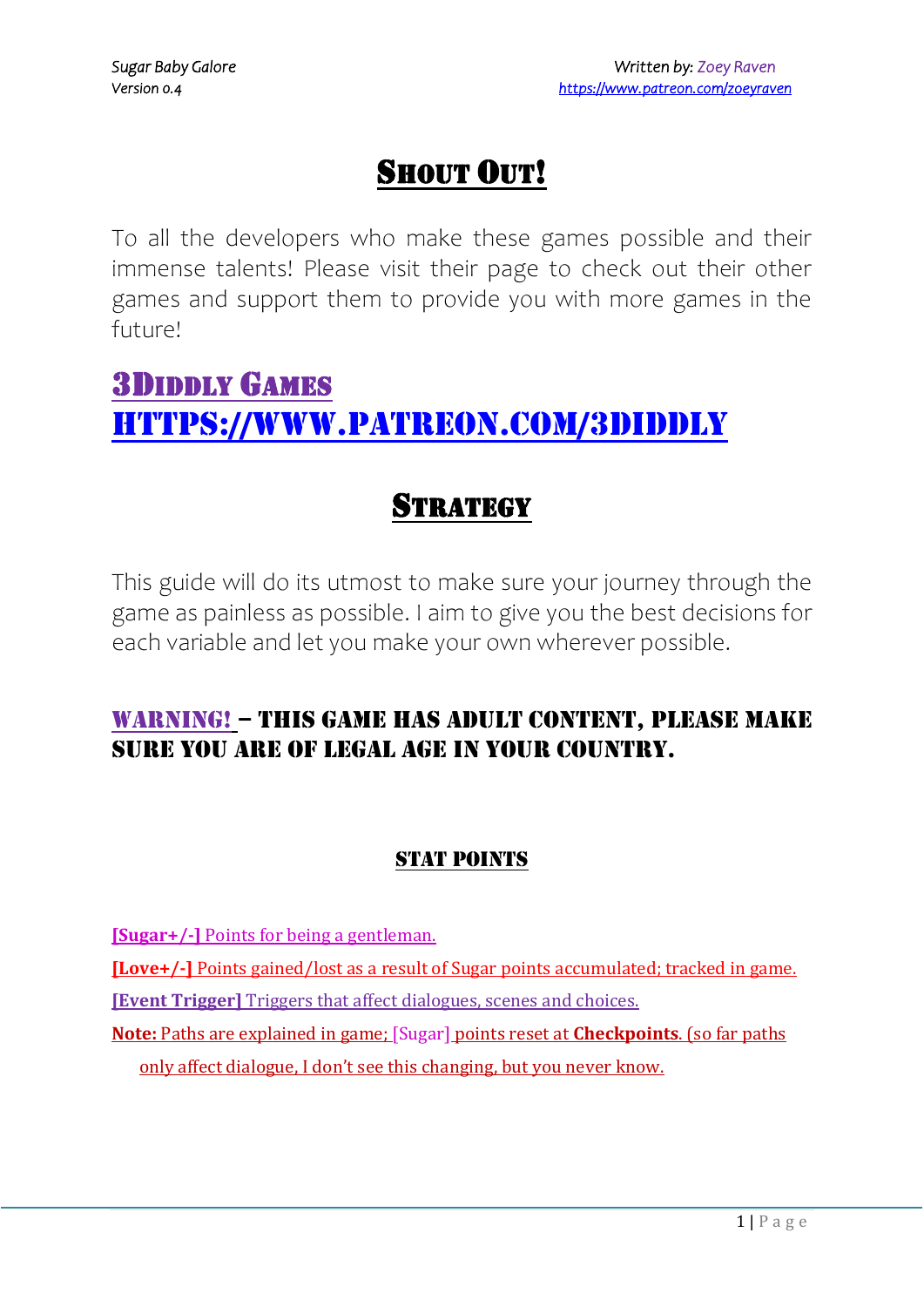# SHOUT OUT!

To all the developers who make these games possible and their immense talents! Please visit their page to check out their other games and support them to provide you with more games in the future!

# 3DIDDLY GAMES <https://www.patreon.com/3Diddly>

# **STRATEGY**

This guide will do its utmost to make sure your journey through the game as painless as possible. I aim to give you the best decisions for each variable and let you make your own wherever possible.

# Warning! – This game has adult content, please make sure you are of legal age in your country.

## **STAT POINTS**

**[Sugar+/-]** Points for being a gentleman.

**[Love+/-]** Points gained/lost as a result of Sugar points accumulated; tracked in game.

**[Event Trigger]** Triggers that affect dialogues, scenes and choices.

**Note:** Paths are explained in game; [Sugar] points reset at **Checkpoints**. (so far paths only affect dialogue, I don't see this changing, but you never know.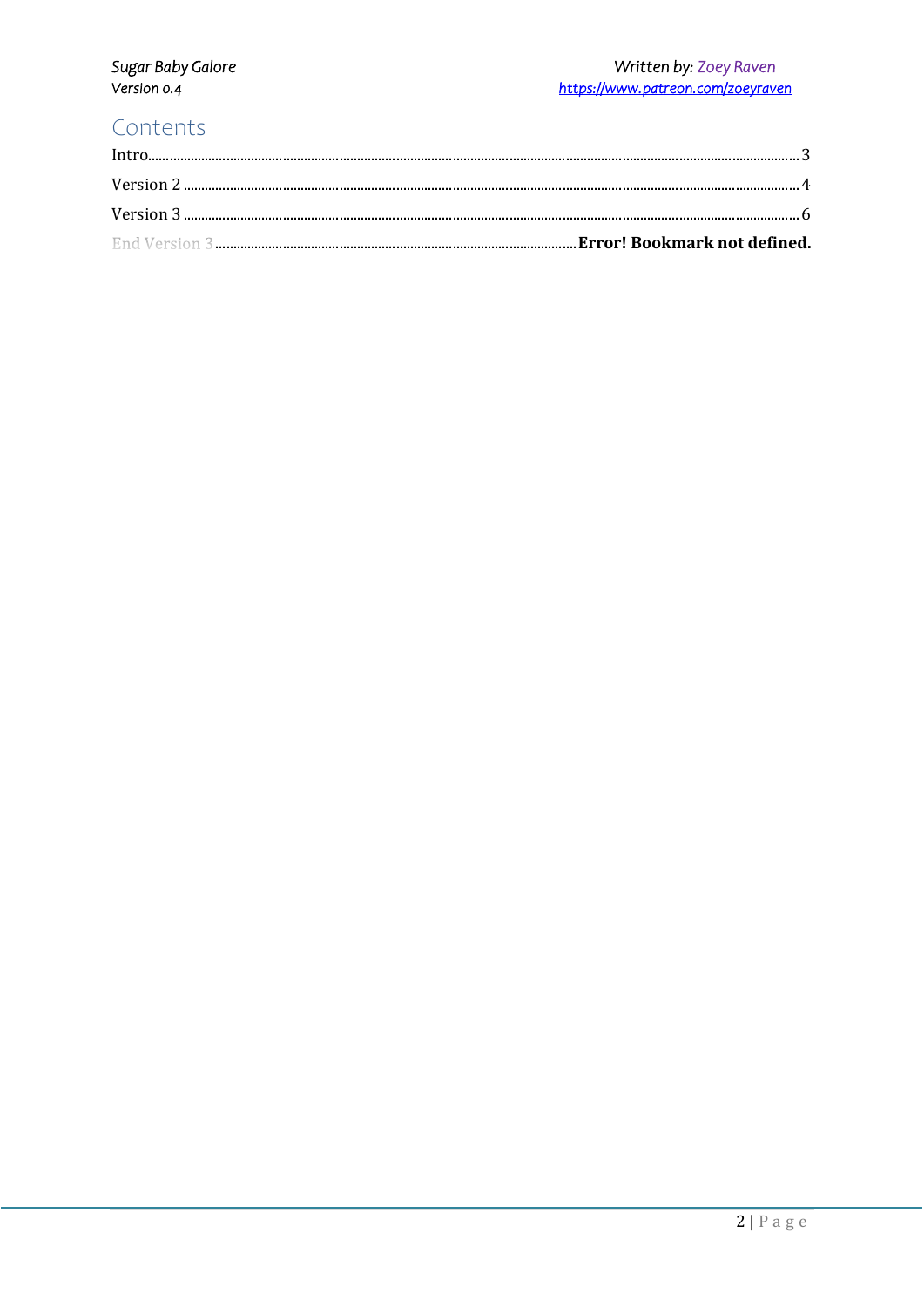# Sugar Baby Galore<br>Version 0.4

#### Written by: Zoey Raven https://www.patreon.com/zoeyraven

# Contents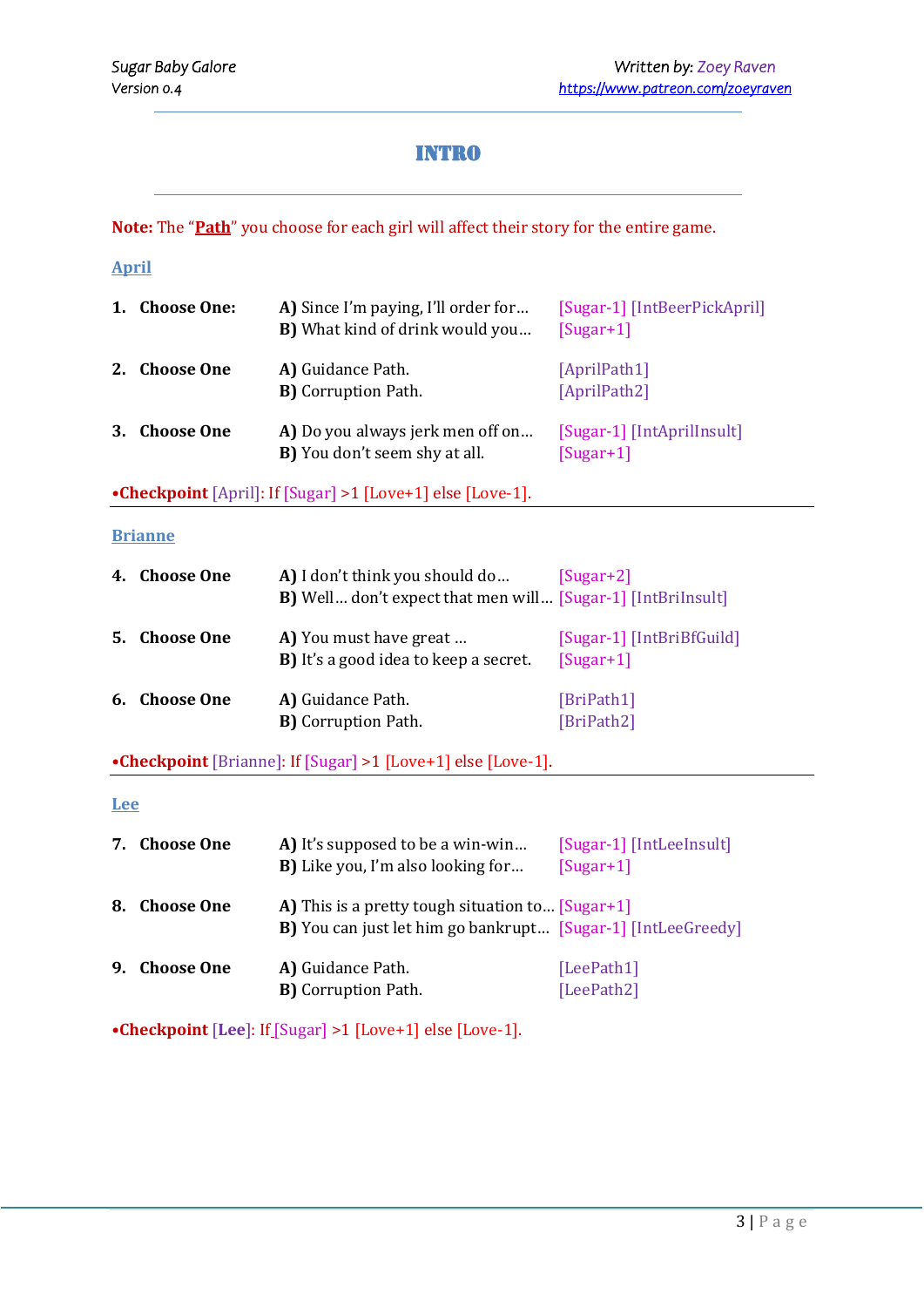### Intro

<span id="page-2-0"></span>**Note:** The "**Path**" you choose for each girl will affect their story for the entire game.

#### **April**

| 1. | <b>Choose One:</b> | A) Since I'm paying, I'll order for<br><b>B</b> ) What kind of drink would you | [Sugar-1] [IntBeerPickApril]<br>$[Sugar+1]$ |
|----|--------------------|--------------------------------------------------------------------------------|---------------------------------------------|
| 2. | <b>Choose One</b>  | A) Guidance Path.<br><b>B)</b> Corruption Path.                                | [AprilPath1]<br>[AprilPath2]                |
| 3. | <b>Choose One</b>  | A) Do you always jerk men off on<br><b>B</b> ) You don't seem shy at all.      | [Sugar-1] [IntAprilInsult]<br>$[Sugar+1]$   |

**•Checkpoint** [April]: If [Sugar] >1 [Love+1] else [Love-1].

#### **Brianne**

|    | 4. Choose One     | A) I don't think you should do<br><b>B)</b> Well don't expect that men will [Sugar-1] [IntBriInsult] | $[Sugar+2]$                              |
|----|-------------------|------------------------------------------------------------------------------------------------------|------------------------------------------|
| 5. | <b>Choose One</b> | A) You must have great<br><b>B</b> ) It's a good idea to keep a secret.                              | [Sugar-1] [IntBriBfGuild]<br>$[Sugar+1]$ |
|    | 6. Choose One     | A) Guidance Path.<br><b>B</b> ) Corruption Path.                                                     | [BriPath1]<br>[BriPath2]                 |

**•Checkpoint** [Brianne]: If [Sugar] >1 [Love+1] else [Love-1].

#### **Lee**

| 7. | <b>Choose One</b> | A) It's supposed to be a win-win<br><b>B</b> ) Like you, I'm also looking for                                            | [Sugar-1] [IntLeeInsult]<br>$[Sugar+1]$ |
|----|-------------------|--------------------------------------------------------------------------------------------------------------------------|-----------------------------------------|
| 8. | <b>Choose One</b> | A) This is a pretty tough situation to [Sugar+1]<br><b>B</b> ) You can just let him go bankrupt [Sugar-1] [IntLeeGreedy] |                                         |
| 9. | <b>Choose One</b> | A) Guidance Path.<br><b>B)</b> Corruption Path.                                                                          | [LeePath1]<br>[LeePath2]                |

**•Checkpoint** [**Lee**]: If [Sugar] >1 [Love+1] else [Love-1].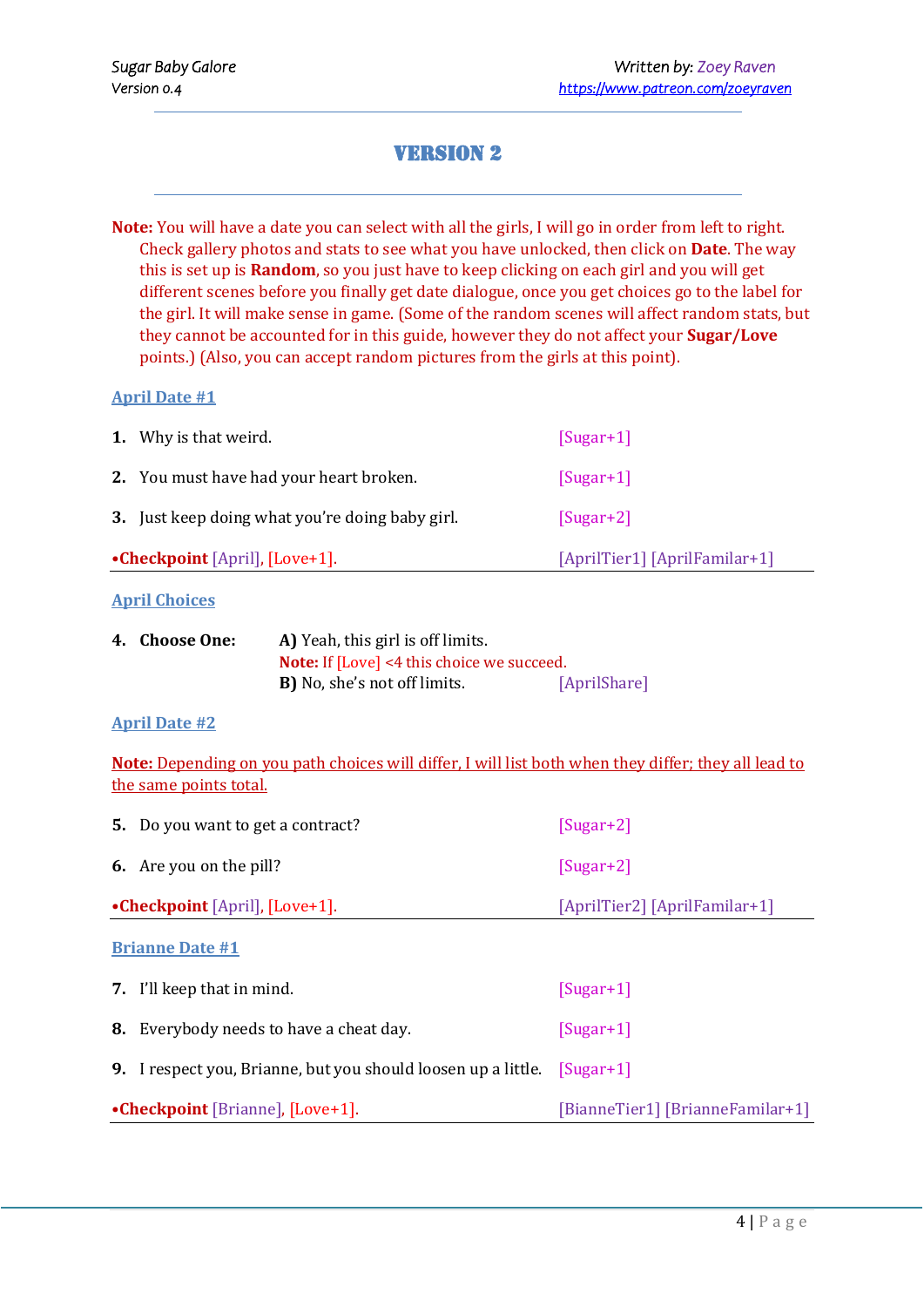## Version 2

<span id="page-3-0"></span>**Note:** You will have a date you can select with all the girls, I will go in order from left to right. Check gallery photos and stats to see what you have unlocked, then click on **Date**. The way this is set up is **Random**, so you just have to keep clicking on each girl and you will get different scenes before you finally get date dialogue, once you get choices go to the label for the girl. It will make sense in game. (Some of the random scenes will affect random stats, but they cannot be accounted for in this guide, however they do not affect your **Sugar/Love** points.) (Also, you can accept random pictures from the girls at this point).

#### **April Date #1**

| <b>1.</b> Why is that weird.                    | $[Sugar+1]$                   |
|-------------------------------------------------|-------------------------------|
| 2. You must have had your heart broken.         | $[Sugar+1]$                   |
| 3. Just keep doing what you're doing baby girl. | $[Sugar+2]$                   |
| •Checkpoint [April], [Love+1].                  | [AprilTier1] [AprilFamilar+1] |

#### **April Choices**

| 4. Choose One: | A) Yeah, this girl is off limits.                 |              |
|----------------|---------------------------------------------------|--------------|
|                | <b>Note:</b> If [Love] <4 this choice we succeed. |              |
|                | <b>B</b> ) No, she's not off limits.              | [AprilShare] |

#### **April Date #2**

**Note:** Depending on you path choices will differ, I will list both when they differ; they all lead to the same points total.

| <b>5.</b> Do you want to get a contract?                                         | $[Sugar+2]$                      |
|----------------------------------------------------------------------------------|----------------------------------|
| <b>6.</b> Are you on the pill?                                                   | $[Sugar+2]$                      |
| •Checkpoint [April], [Love+1].                                                   | [AprilTier2] [AprilFamilar+1]    |
| <b>Brianne Date #1</b>                                                           |                                  |
| <b>7.</b> I'll keep that in mind.                                                | $[Sugar+1]$                      |
| <b>8.</b> Everybody needs to have a cheat day.                                   | $[Sugar+1]$                      |
| <b>9.</b> I respect you, Brianne, but you should loosen up a little. $[Sugar+1]$ |                                  |
| •Checkpoint [Brianne], [Love+1].                                                 | [BianneTier1] [BrianneFamilar+1] |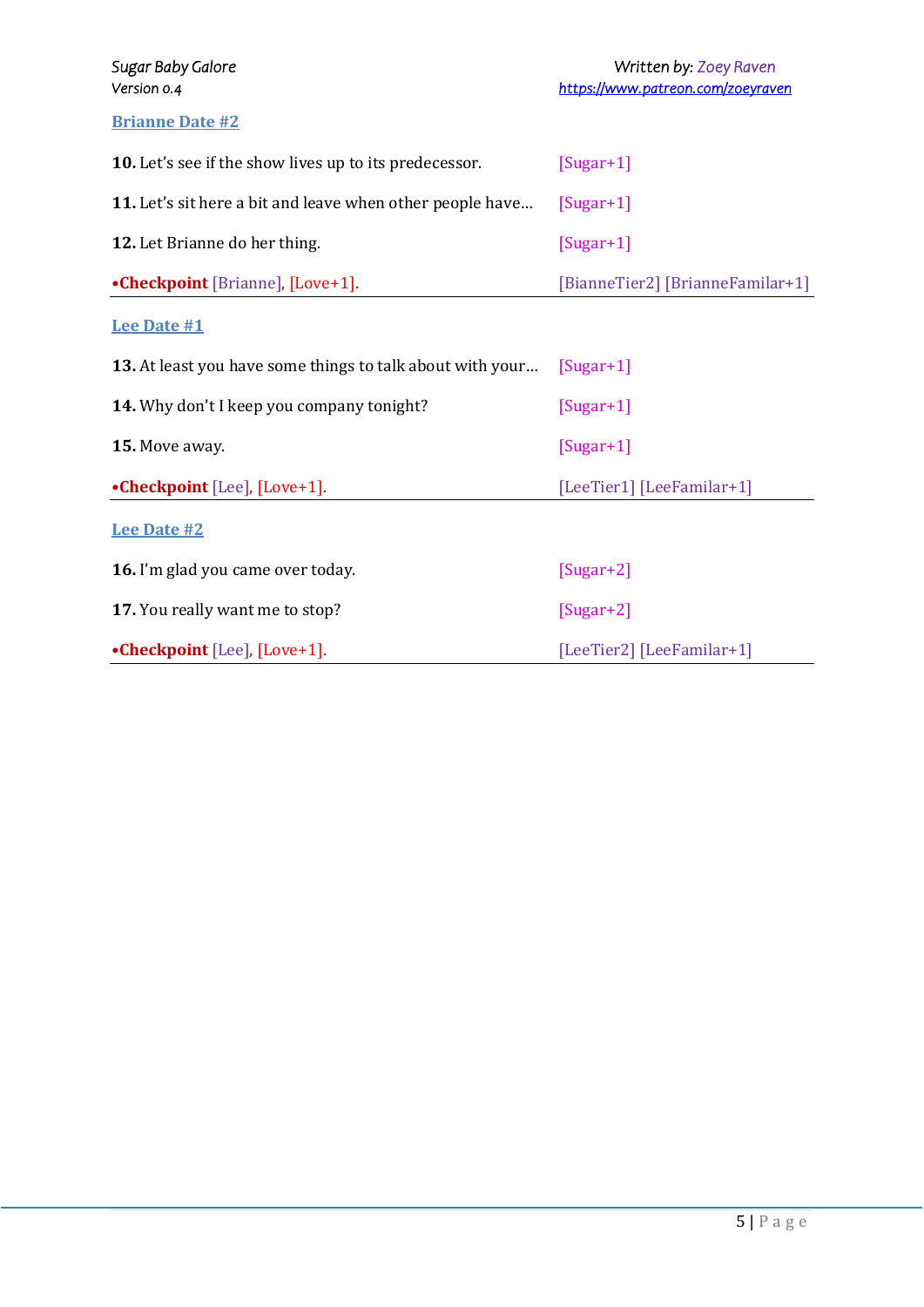#### **Brianne Date #2**

| 10. Let's see if the show lives up to its predecessor.    | $[Sugar+1]$                      |
|-----------------------------------------------------------|----------------------------------|
| 11. Let's sit here a bit and leave when other people have | $[Sugar+1]$                      |
| 12. Let Brianne do her thing.                             | $[Sugar+1]$                      |
| •Checkpoint [Brianne], [Love+1].                          | [BianneTier2] [BrianneFamilar+1] |
| <b>Lee Date #1</b>                                        |                                  |
| 13. At least you have some things to talk about with your | $[Sugar+1]$                      |
| 14. Why don't I keep you company tonight?                 | $[Sugar+1]$                      |
| 15. Move away.                                            | $[Sugar+1]$                      |
| •Checkpoint [Lee], [Love+1].                              | [LeeTier1] [LeeFamilar+1]        |
| <b>Lee Date #2</b>                                        |                                  |
| 16. I'm glad you came over today.                         | $[Sugar+2]$                      |
| 17. You really want me to stop?                           | $[Sugar+2]$                      |
| •Checkpoint [Lee], [Love+1].                              | [LeeTier2] [LeeFamilar+1]        |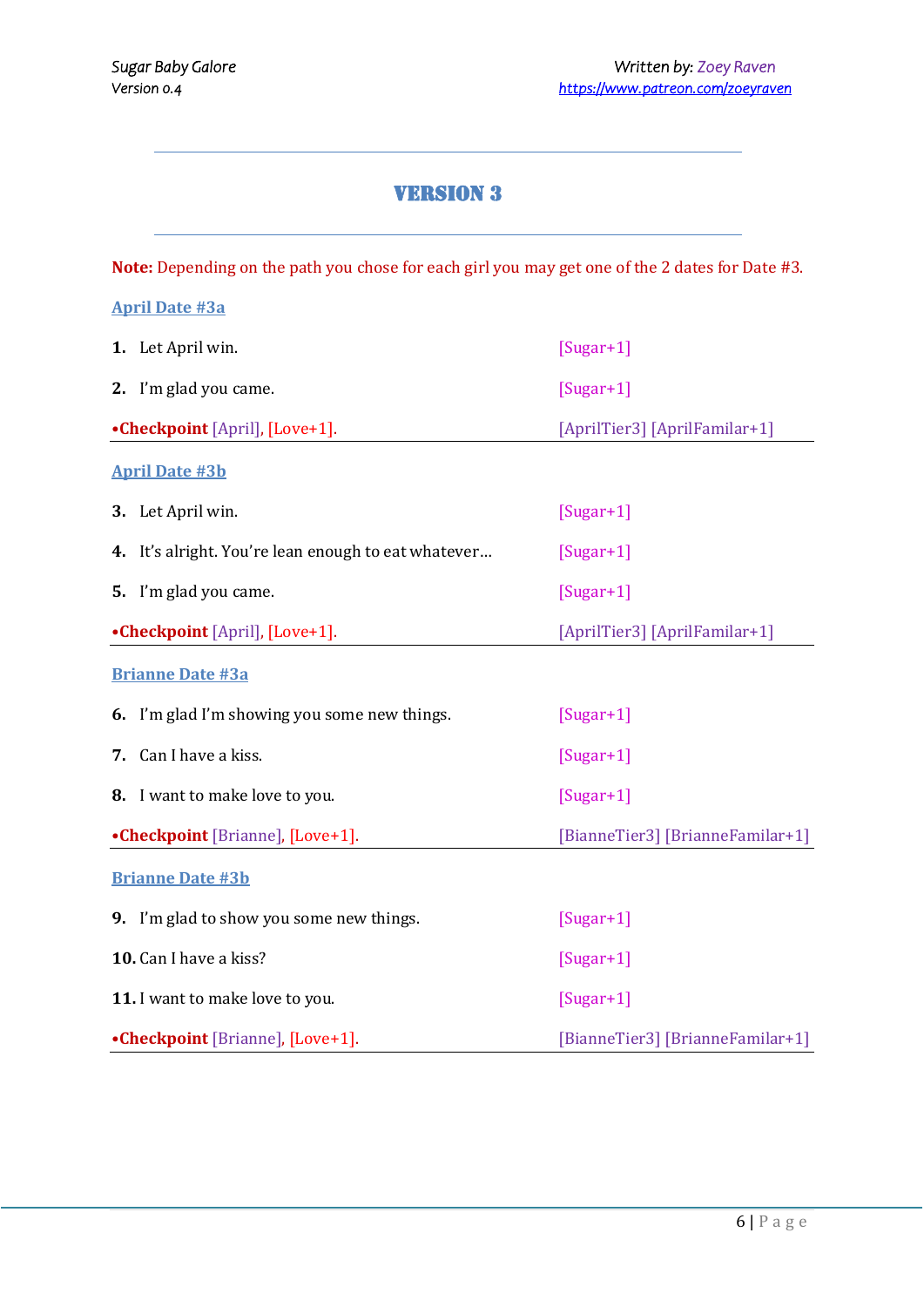## **VERSION 3**

<span id="page-5-0"></span>**Note:** Depending on the path you chose for each girl you may get one of the 2 dates for Date #3.

|    | <b>April Date #3a</b>                               |                                  |
|----|-----------------------------------------------------|----------------------------------|
|    | 1. Let April win.                                   | $[Sugar+1]$                      |
|    | 2. I'm glad you came.                               | $[Sugar+1]$                      |
|    | •Checkpoint [April], [Love+1].                      | [AprilTier3] [AprilFamilar+1]    |
|    | <b>April Date #3b</b>                               |                                  |
|    | 3. Let April win.                                   | $[Sugar+1]$                      |
|    | 4. It's alright. You're lean enough to eat whatever | $[Sugar+1]$                      |
|    | 5. I'm glad you came.                               | $[Sugar+1]$                      |
|    | •Checkpoint [April], [Love+1].                      | [AprilTier3] [AprilFamilar+1]    |
|    | <b>Brianne Date #3a</b>                             |                                  |
|    | 6. I'm glad I'm showing you some new things.        | $[Sugar+1]$                      |
| 7. | Can I have a kiss.                                  | $[Sugar+1]$                      |
|    | 8. I want to make love to you.                      | $[Sugar+1]$                      |
|    | •Checkpoint [Brianne], [Love+1].                    | [BianneTier3] [BrianneFamilar+1] |
|    | <b>Brianne Date #3b</b>                             |                                  |
|    | 9. I'm glad to show you some new things.            | $[Sugar+1]$                      |
|    | 10. Can I have a kiss?                              | $[Sugar+1]$                      |
|    | 11. I want to make love to you.                     | $[Sugar+1]$                      |
|    | •Checkpoint [Brianne], [Love+1].                    | [BianneTier3] [BrianneFamilar+1] |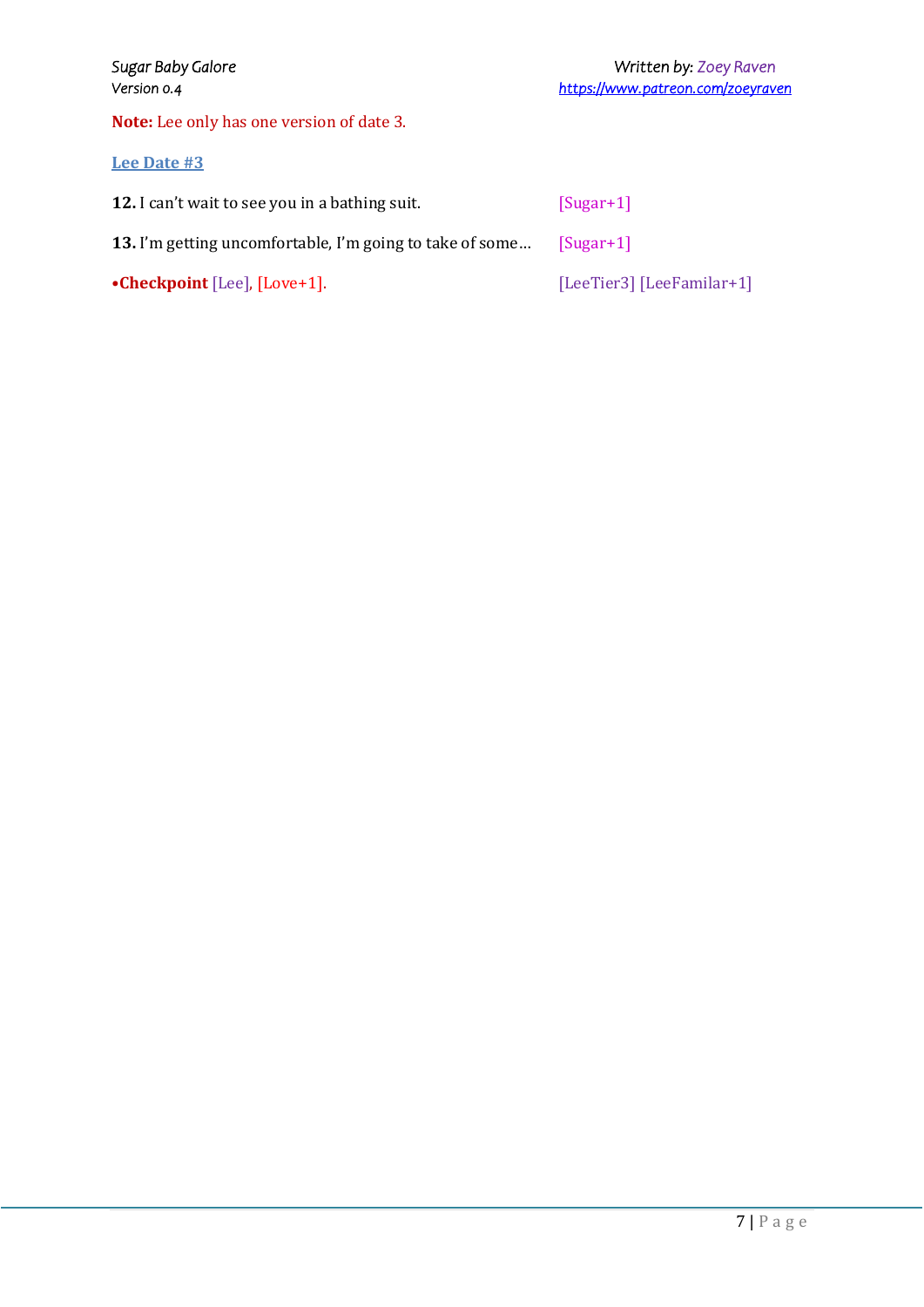**Note:** Lee only has one version of date 3.

#### **Lee Date #3**

| 12. I can't wait to see you in a bathing suit.           | $[Sugar+1]$               |
|----------------------------------------------------------|---------------------------|
| 13. I'm getting uncomfortable, I'm going to take of some | $ Sugar+1 $               |
| • Checkpoint [Lee], $[Lower 1]$ .                        | [LeeTier3] [LeeFamilar+1] |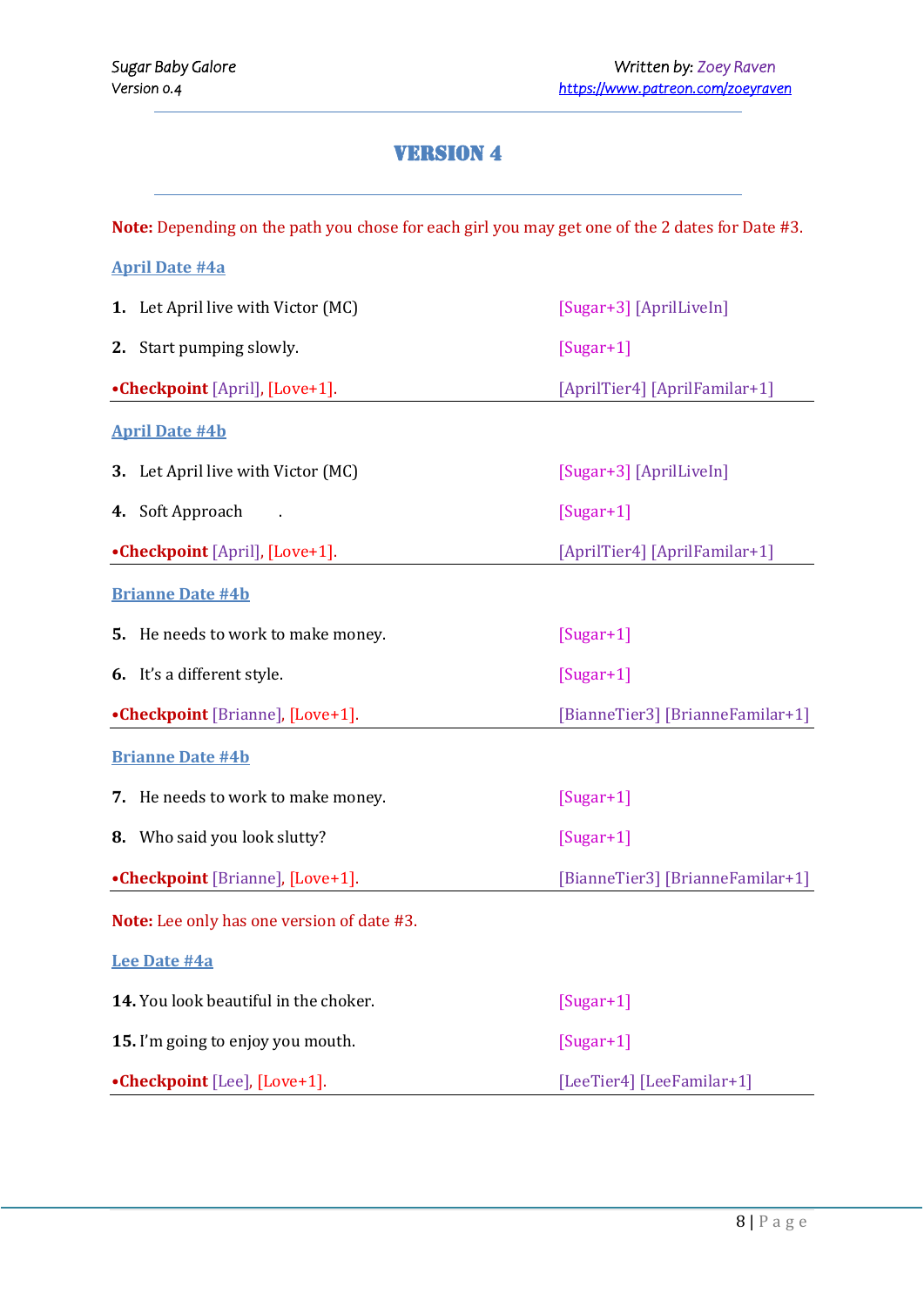# Version 4

**Note:** Depending on the path you chose for each girl you may get one of the 2 dates for Date #3.

| <b>April Date #4a</b>                      |                                  |  |  |
|--------------------------------------------|----------------------------------|--|--|
| 1. Let April live with Victor (MC)         | [Sugar+3] [AprilLiveIn]          |  |  |
| 2. Start pumping slowly.                   | $[Sugar+1]$                      |  |  |
| •Checkpoint [April], [Love+1].             | [AprilTier4] [AprilFamilar+1]    |  |  |
| <b>April Date #4b</b>                      |                                  |  |  |
| 3. Let April live with Victor (MC)         | [Sugar+3] [AprilLiveIn]          |  |  |
| Soft Approach<br>4.                        | $[Sugar+1]$                      |  |  |
| •Checkpoint [April], [Love+1].             | [AprilTier4] [AprilFamilar+1]    |  |  |
| <b>Brianne Date #4b</b>                    |                                  |  |  |
| 5. He needs to work to make money.         | $[Sugar+1]$                      |  |  |
| 6. It's a different style.                 | $[Sugar+1]$                      |  |  |
| •Checkpoint [Brianne], [Love+1].           | [BianneTier3] [BrianneFamilar+1] |  |  |
| <b>Brianne Date #4b</b>                    |                                  |  |  |
| 7. He needs to work to make money.         | $[Sugar+1]$                      |  |  |
| 8. Who said you look slutty?               | $[Sugar+1]$                      |  |  |
| •Checkpoint [Brianne], [Love+1].           | [BianneTier3] [BrianneFamilar+1] |  |  |
| Note: Lee only has one version of date #3. |                                  |  |  |
| <b>Lee Date #4a</b>                        |                                  |  |  |
| 14. You look beautiful in the choker.      | $[Sugar+1]$                      |  |  |
| 15. I'm going to enjoy you mouth.          | $[Sugar+1]$                      |  |  |
| •Checkpoint [Lee], [Love+1].               | [LeeTier4] [LeeFamilar+1]        |  |  |